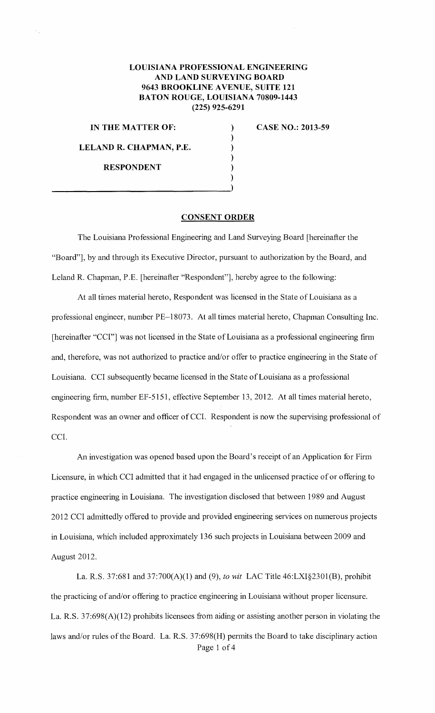## **LOUISIANA PROFESSIONAL ENGINEERING AND LAND SURVEYING BOARD 9643 BROOKLINE A VENUE, SUITE 121 BATON ROUGE, LOUISIANA 70809-1443 (225) 925-6291**

) ) ) ) ) )

**IN THE MATTER OF:** 

**LELAND R. CHAPMAN, P.E.** 

 $\frac{1}{1}$ 

**CASE NO.: 2013-59** 

**RESPONDENT** 

## **CONSENT ORDER**

The Louisiana Professional Engineering and Land Surveying Board [hereinafter the "Board"], by and through its Executive Director, pursuant to authorization by the Board, and Leland R. Chapman, P.E. [hereinafter "Respondent"], hereby agree to the following:

At all times material hereto, Respondent was licensed in the State of Louisiana as a professional engineer, number PE-18073. At all times material hereto, Chapman Consulting Inc. [hereinafter "CCI"] was not licensed in the State of Louisiana as a professional engineering firm and, therefore, was not authorized to practice and/or offer to practice engineering in the State of Louisiana. CCI subsequently became licensed in the State of Louisiana as a professional engineering firm, number EF-5151, effective September 13, 2012. At all times material hereto, Respondent was an owner and officer of CCI. Respondent is now the supervising professional of CCI.

An investigation was opened based upon the Board's receipt of an Application for Firm Licensure, in which CCI admitted that it had engaged in the unlicensed practice of or offering to practice engineering in Louisiana. The investigation disclosed that between 1989 and August 2012 CCI admittedly offered to provide and provided engineering services on numerous projects in Louisiana, which included approximately 136 such projects in Louisiana between2009 and August 2012.

La. R.S. 37:681 and 37:700(A)(1) and (9), *to wit* LAC Title 46:LXI§2301(B), prohibit the practicing of and/or offering to practice engineering in Louisiana without proper licensure. La. R.S. 37:698(A)(12) prohibits licensees from aiding or assisting another person in violating the laws and/or rules of the Board. La. R.S. 37:698(H) permits the Board to take disciplinary action Page 1 of 4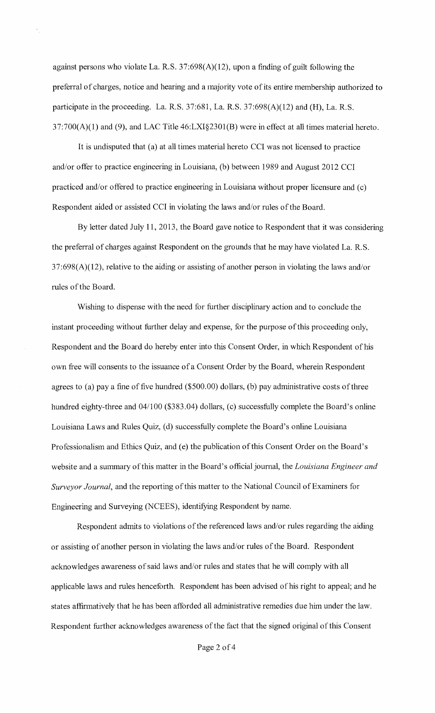against persons who violate La. R.S. 37:698(A)(12), upon a finding of guilt following the preferral of charges, notice and hearing and a majority vote of its entire membership authorized to participate in the proceeding. La. R.S. 37:681, La. R.S. 37:698(A)(12) mid (H), La. R.S. 37:700(A)(l) and (9), and LAC Title 46:LXI§2301(B) were in effect at all times material hereto.

It is undisputed that (a) at all times material hereto CCI was not licensed to practice and/or offer to practice engineering in Louisiana, (b) between 1989 and August 2012 CCI practiced and/or offered to practice engineering in Louisiana without proper licensure and (c) Respondent aided or assisted CCI in violating the laws and/or rules of the Board.

By letter dated July 11, 2013, the Board gave notice to Respondent that it was considering the preferral of charges against Respondent on the grounds that he may have violated La. R.S. 37:698(A)(12), relative to the aiding or assisting of another person in violating the laws and/or rules of the Board.

Wishing to dispense with the need for further disciplinary action and to conclude the instant proceeding without further delay and expense, for the purpose of this proceeding only, Respondent and the Board do hereby enter into this Consent Order, in which Respondent of his own free will consents to the issuance of a Consent Order by the Board, wherein Respondent agrees to (a) pay a fine of five hundred (\$500.00) dollars, (b) pay administrative costs of three hundred eighty-three and 04/100 (\$383.04) dollars, (c) successfully complete the Board's online Louisiana Laws and Rules Quiz, (d) successfully complete the Board's online Louisiana Professionalism and Ethics Quiz, and (e) the publication of this Consent Order on the Board's website and a summary of this matter in the Board's official journal, the *Louisiana Engineer and Surveyor Journal,* and the reporting of this matter to the National Council of Examiners for Engineering and Surveying (NCEES), identifying Respondent by name.

Respondent admits to violations of the referenced laws and/or rules regarding the aiding or assisting of another person in violating the laws and/or rules of the Board. Respondent acknowledges awareness of said laws and/or rules and states that he will comply with all applicable laws and rules henceforth. Respondent has been advised of his right to appeal; and he states affirmatively that he has been afforded all administrative remedies due him under the law. Respondent further acknowledges awareness of the fact that the signed original of this Consent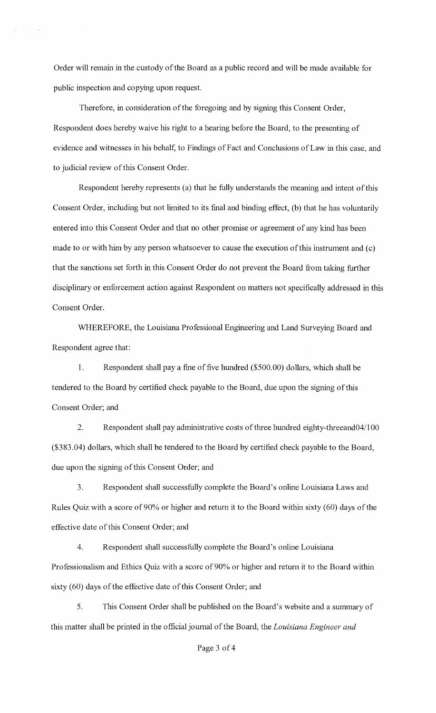Order will remain in the custody of the Board as a public record and will be made available for public inspection and copying upon request.

Therefore, in consideration of the foregoing and by signing this Consent Order, Respondent does hereby waive his right to a hearing before the Board, to the presenting of evidence and witnesses in his behalf, to Findings of Fact and Conclusions of Law in this case, and to judicial review of this Consent Order.

Respondent hereby represents (a) that he fully understands the meaning and intent of this Consent Order, including but not limited to its final and binding effect, (b) that he has voluntarily entered into this Consent Order and that no other promise or agreement of any kind has been made to or with him by any person whatsoever to cause the execution of this instrument and (c) that the sanctions set forth in this Consent Order do not prevent the Board from taking further disciplinary or enforcement action against Respondent on matters not specifically addressed in this Consent Order.

WHEREFORE, the Louisiana Professional Engineering and Land Surveying Board and Respondent agree that:

1. Respondent shall pay a fine of five hundred (\$500.00) dollars, which shall be tendered to the Board by certified check payable to the Board, due upon the signing of this Consent Order; and

2. Respondent shall pay administrative costs of three hundred eighty-threeand04/100 (\$383.04) dollars, which shall be tendered to the Board by certified check payable to the Board, due upon the signing of this Consent Order; and

3. Respondent shall successfully complete the Board's online Louisiana Laws and Rules Quiz with a score of 90% or higher and return it to the Board within sixty (60) days of the effective date of this Consent Order; and

4. Respondent shall successfully complete the Board's online Louisiana Professionalism and Ethics Quiz with a score of 90% or mgher and return it to the Board within sixty (60) days of the effective date of this Consent Order; and

5. This Consent Order shall be published on the Board's website and a summary of this matter shall be printed in the official journal of the Board, the *Louisiana Engineer and*